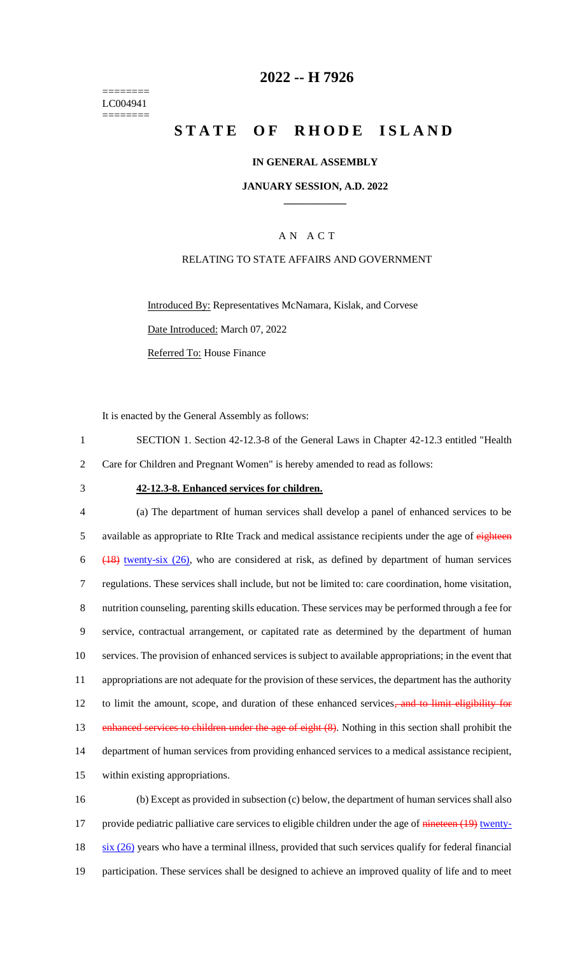======== LC004941 ========

## **2022 -- H 7926**

# **STATE OF RHODE ISLAND**

### **IN GENERAL ASSEMBLY**

### **JANUARY SESSION, A.D. 2022 \_\_\_\_\_\_\_\_\_\_\_\_**

### A N A C T

### RELATING TO STATE AFFAIRS AND GOVERNMENT

Introduced By: Representatives McNamara, Kislak, and Corvese Date Introduced: March 07, 2022 Referred To: House Finance

It is enacted by the General Assembly as follows:

1 SECTION 1. Section 42-12.3-8 of the General Laws in Chapter 42-12.3 entitled "Health 2 Care for Children and Pregnant Women" is hereby amended to read as follows:

#### 3 **42-12.3-8. Enhanced services for children.**

 (a) The department of human services shall develop a panel of enhanced services to be 5 available as appropriate to RIte Track and medical assistance recipients under the age of eighteen (18) twenty-six (26), who are considered at risk, as defined by department of human services regulations. These services shall include, but not be limited to: care coordination, home visitation, nutrition counseling, parenting skills education. These services may be performed through a fee for service, contractual arrangement, or capitated rate as determined by the department of human services. The provision of enhanced services is subject to available appropriations; in the event that appropriations are not adequate for the provision of these services, the department has the authority 12 to limit the amount, scope, and duration of these enhanced services, and to limit eligibility for 13 enhanced services to children under the age of eight (8). Nothing in this section shall prohibit the department of human services from providing enhanced services to a medical assistance recipient, within existing appropriations. (b) Except as provided in subsection (c) below, the department of human services shall also

17 provide pediatric palliative care services to eligible children under the age of nineteen (19) twenty- $18$  six (26) years who have a terminal illness, provided that such services qualify for federal financial 19 participation. These services shall be designed to achieve an improved quality of life and to meet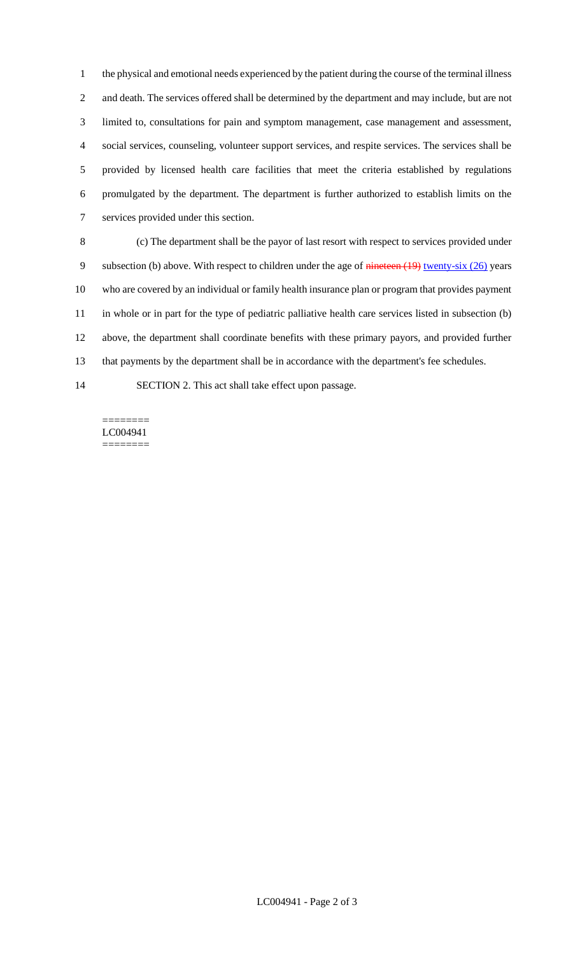the physical and emotional needs experienced by the patient during the course of the terminal illness and death. The services offered shall be determined by the department and may include, but are not limited to, consultations for pain and symptom management, case management and assessment, social services, counseling, volunteer support services, and respite services. The services shall be provided by licensed health care facilities that meet the criteria established by regulations promulgated by the department. The department is further authorized to establish limits on the services provided under this section.

 (c) The department shall be the payor of last resort with respect to services provided under 9 subsection (b) above. With respect to children under the age of nineteen (19) twenty-six (26) years who are covered by an individual or family health insurance plan or program that provides payment in whole or in part for the type of pediatric palliative health care services listed in subsection (b) above, the department shall coordinate benefits with these primary payors, and provided further that payments by the department shall be in accordance with the department's fee schedules.

SECTION 2. This act shall take effect upon passage.

======== LC004941 ========